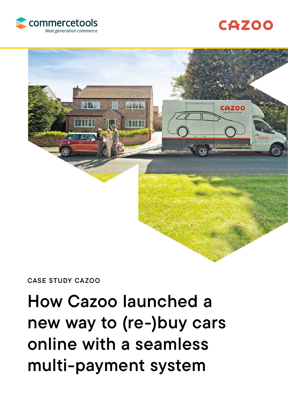# How Cazoo launched a new way to (re-)buy cars online with a seamless multi-payment system

CASE STUDY CAZOO





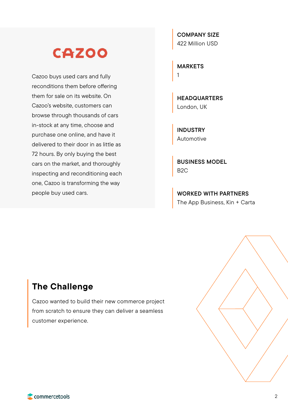## **CAZOO**

Cazoo buys used cars and fully reconditions them before offering them for sale on its website. On Cazoo's website, customers can browse through thousands of cars in-stock at any time, choose and purchase one online, and have it delivered to their door in as little as 72 hours. By only buying the best cars on the market, and thoroughly inspecting and reconditioning each one, Cazoo is transforming the way people buy used cars.

COMPANY SIZE 422 Million USD

MARKETS 1

**HEADQUARTERS** London, UK

INDUSTRY Automotive

BUSINESS MODEL B2C

WORKED WITH PARTNERS The App Business, Kin + Carta

## The Challenge

Cazoo wanted to build their new commerce project from scratch to ensure they can deliver a seamless customer experience.

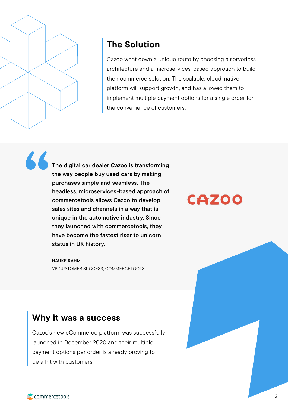

## The Solution

Cazoo went down a unique route by choosing a serverless architecture and a microservices-based approach to build their commerce solution. The scalable, cloud-native platform will support growth, and has allowed them to implement multiple payment options for a single order for the convenience of customers.

The digital car dealer Cazoo is transforming the way people buy used cars by making purchases simple and seamless. The headless, microservices-based approach of commercetools allows Cazoo to develop sales sites and channels in a way that is unique in the automotive industry. Since they launched with commercetools, they have become the fastest riser to unicorn status in UK history. "

> HAUKE RAHM VP CUSTOMER SUCCESS, COMMERCETOOLS

**CAZ00** 

### Why it was a success

Cazoo's new eCommerce platform was successfully launched in December 2020 and their multiple payment options per order is already proving to be a hit with customers.